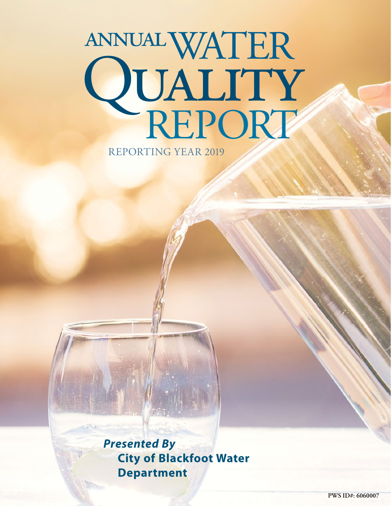# WATER annual QUALITY<br>REPORT

REPORTING YEAR 2019

*Presented By* **City of Blackfoot Water Department**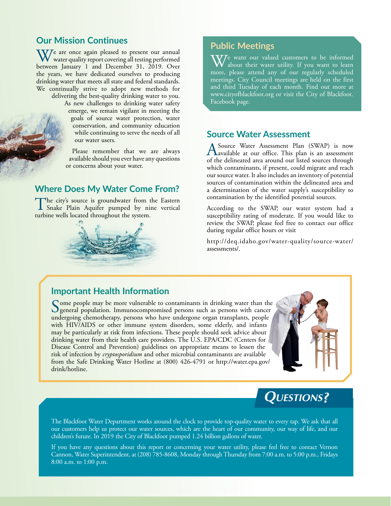### **Our Mission Continues**

 $\mathbf{W}$ <sup>e</sup> are once again pleased to present our annual water quality report covering all testing performed between January 1 and December 31, 2019. Over the years, we have dedicated ourselves to producing drinking water that meets all state and federal standards. We continually strive to adopt new methods for delivering the best-quality drinking water to you.

> As new challenges to drinking water safety emerge, we remain vigilant in meeting the goals of source water protection, water conservation, and community education while continuing to serve the needs of all our water users.

Please remember that we are always available should you ever have any questions or concerns about your water.

## **Where Does My Water Come From?**

The city's source is groundwater from the Eastern<br>
Snake Plain Aquifer pumped by nine vertical<br>
while we will looked throughout the waters turbine wells located throughout the system.



### **Public Meetings**

 $\sqrt{V}$  want our valued customers to be informed about their water utility. If you want to learn more, please attend any of our regularly scheduled meetings. City Council meetings are held on the first and third Tuesday of each month. Find out more at [www.cityofblackfoot.org](http://www.cityofblackfoot.org) or visit the City of Blackfoot. Facebook page.

### **Source Water Assessment**

A Source Water Assessment Plan (SWAP) is now available at our office. This plan is an assessment of the delineated area around our listed sources through which contaminants, if present, could migrate and reach our source water. It also includes an inventory of potential sources of contamination within the delineated area and a determination of the water supply's susceptibility to contamination by the identified potential sources.

According to the SWAP, our water system had a susceptibility rating of moderate. If you would like to review the SWAP, please feel free to contact our office during regular office hours or visit

[http://deq.idaho.gov/water-quality/source-water/](http://deq.idaho.gov/water-quality/source-water/assessments/) [assessments/.](http://deq.idaho.gov/water-quality/source-water/assessments/)

### **Important Health Information**

Some people may be more vulnerable to contaminants in drinking water than the general population. Immunocompromised persons such as persons with cancer undergoing chemotherapy, persons who have undergone organ transplants, people with HIV/AIDS or other immune system disorders, some elderly, and infants may be particularly at risk from infections. These people should seek advice about drinking water from their health care providers. The U.S. EPA/CDC (Centers for Disease Control and Prevention) guidelines on appropriate means to lessen the risk of infection by *cryptosporidium* and other microbial contaminants are available from the Safe Drinking Water Hotline at (800) 426-4791 or [http://water.epa.gov/](http://water.epa.gov/drink/hotline) [drink/hotline](http://water.epa.gov/drink/hotline).



# **Questions?**

The Blackfoot Water Department works around the clock to provide top-quality water to every tap. We ask that all our customers help us protect our water sources, which are the heart of our community, our way of life, and our children's future. In 2019 the City of Blackfoot pumped 1.24 billion gallons of water.

If you have any questions about this report or concerning your water utility, please feel free to contact Vernon Cannon, Water Superintendent, at (208) 785-8608, Monday through Thursday from 7:00 a.m. to 5:00 p.m., Fridays 8:00 a.m. to 1:00 p.m.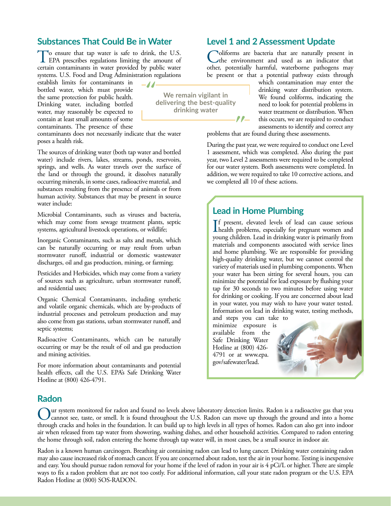### **Substances That Could Be in Water**

To ensure that tap water is safe to drink, the U.S.<br>
EPA prescribes regulations limiting the amount of certain contaminants in water provided by public water systems. U.S. Food and Drug Administration regulations

establish limits for contaminants in bottled water, which must provide the same protection for public health. Drinking water, including bottled water, may reasonably be expected to contain at least small amounts of some contaminants. The presence of these

contaminants does not necessarily indicate that the water poses a health risk.

The sources of drinking water (both tap water and bottled water) include rivers, lakes, streams, ponds, reservoirs, springs, and wells. As water travels over the surface of the land or through the ground, it dissolves naturally occurring minerals, in some cases, radioactive material, and substances resulting from the presence of animals or from human activity. Substances that may be present in source water include:

Microbial Contaminants, such as viruses and bacteria, which may come from sewage treatment plants, septic systems, agricultural livestock operations, or wildlife;

Inorganic Contaminants, such as salts and metals, which can be naturally occurring or may result from urban stormwater runoff, industrial or domestic wastewater discharges, oil and gas production, mining, or farming;

Pesticides and Herbicides, which may come from a variety of sources such as agriculture, urban stormwater runoff, and residential uses;

Organic Chemical Contaminants, including synthetic and volatile organic chemicals, which are by-products of industrial processes and petroleum production and may also come from gas stations, urban stormwater runoff, and septic systems;

Radioactive Contaminants, which can be naturally occurring or may be the result of oil and gas production and mining activities.

For more information about contaminants and potential health effects, call the U.S. EPA's Safe Drinking Water Hotline at (800) 426-4791.

### **Level 1 and 2 Assessment Update**

oliforms are bacteria that are naturally present in the environment and used as an indicator that other, potentially harmful, waterborne pathogens may be present or that a potential pathway exists through

**We remain vigilant in delivering the best-quality drinking water**

which contamination may enter the drinking water distribution system. We found coliforms, indicating the need to look for potential problems in water treatment or distribution. When this occurs, we are required to conduct assessments to identify and correct any

problems that are found during these assessments.

During the past year, we were required to conduct one Level 1 assessment, which was completed. Also during the past year, two Level 2 assessments were required to be completed for our water system. Both assessments were completed. In addition, we were required to take 10 corrective actions, and we completed all 10 of these actions.

### **Lead in Home Plumbing**

If present, elevated levels of lead can cause serious<br>health problems, especially for pregnant women and f present, elevated levels of lead can cause serious young children. Lead in drinking water is primarily from materials and components associated with service lines and home plumbing. We are responsible for providing high-quality drinking water, but we cannot control the variety of materials used in plumbing components. When your water has been sitting for several hours, you can minimize the potential for lead exposure by flushing your tap for 30 seconds to two minutes before using water for drinking or cooking. If you are concerned about lead in your water, you may wish to have your water tested. Information on lead in drinking water, testing methods,

and steps you can take to minimize exposure is available from the Safe Drinking Water Hotline at (800) 426- 4791 or at [www.epa.](http://www.epa.gov/safewater/lead) [gov/safewater/lead.](http://www.epa.gov/safewater/lead)



### **Radon**

ur system monitored for radon and found no levels above laboratory detection limits. Radon is a radioactive gas that you cannot see, taste, or smell. It is found throughout the U.S. Radon can move up through the ground and into a home through cracks and holes in the foundation. It can build up to high levels in all types of homes. Radon can also get into indoor air when released from tap water from showering, washing dishes, and other household activities. Compared to radon entering the home through soil, radon entering the home through tap water will, in most cases, be a small source in indoor air.

Radon is a known human carcinogen. Breathing air containing radon can lead to lung cancer. Drinking water containing radon may also cause increased risk of stomach cancer. If you are concerned about radon, test the air in your home. Testing is inexpensive and easy. You should pursue radon removal for your home if the level of radon in your air is 4 pCi/L or higher. There are simple ways to fix a radon problem that are not too costly. For additional information, call your state radon program or the U.S. EPA Radon Hotline at (800) SOS-RADON.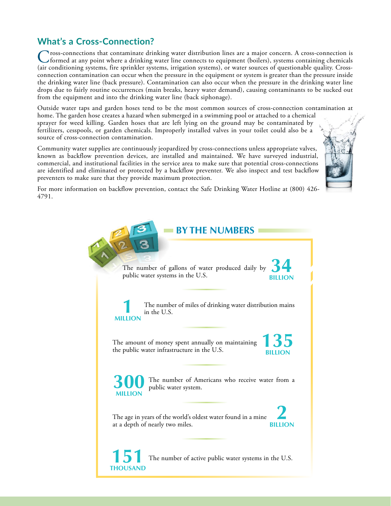# **What's a Cross-Connection?**

Cross-connections that contaminate drinking water distribution lines are a major concern. A cross-connection is formed at any point where a drinking water line connects to equipment (boilers), systems containing chemicals (air conditioning systems, fire sprinkler systems, irrigation systems), or water sources of questionable quality. Crossconnection contamination can occur when the pressure in the equipment or system is greater than the pressure inside the drinking water line (back pressure). Contamination can also occur when the pressure in the drinking water line drops due to fairly routine occurrences (main breaks, heavy water demand), causing contaminants to be sucked out from the equipment and into the drinking water line (back siphonage).

Outside water taps and garden hoses tend to be the most common sources of cross-connection contamination at

home. The garden hose creates a hazard when submerged in a swimming pool or attached to a chemical sprayer for weed killing. Garden hoses that are left lying on the ground may be contaminated by fertilizers, cesspools, or garden chemicals. Improperly installed valves in your toilet could also be a source of cross-connection contamination.

Community water supplies are continuously jeopardized by cross-connections unless appropriate valves, known as backflow prevention devices, are installed and maintained. We have surveyed industrial, commercial, and institutional facilities in the service area to make sure that potential cross-connections are identified and eliminated or protected by a backflow preventer. We also inspect and test backflow preventers to make sure that they provide maximum protection.



For more information on backflow prevention, contact the Safe Drinking Water Hotline at (800) 426- 4791.